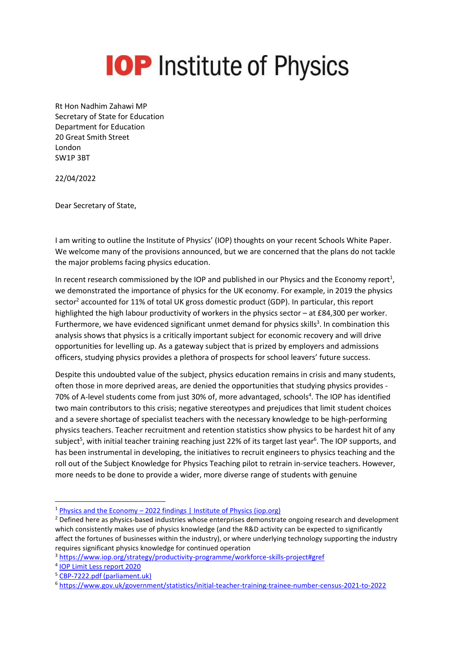## **IOP** Institute of Physics

Rt Hon Nadhim Zahawi MP Secretary of State for Education Department for Education 20 Great Smith Street London SW1P 3BT

22/04/2022

Dear Secretary of State,

I am writing to outline the Institute of Physics' (IOP) thoughts on your recent Schools White Paper. We welcome many of the provisions announced, but we are concerned that the plans do not tackle the major problems facing physics education.

In recent research commissioned by the IOP and published in our Physics and the Economy report<sup>1</sup>, we demonstrated the importance of physics for the UK economy. For example, in 2019 the physics sector<sup>2</sup> accounted for 11% of total UK gross domestic product (GDP). In particular, this report highlighted the high labour productivity of workers in the physics sector – at £84,300 per worker. Furthermore, we have evidenced significant unmet demand for physics skills<sup>3</sup>. In combination this analysis shows that physics is a critically important subject for economic recovery and will drive opportunities for levelling up. As a gateway subject that is prized by employers and admissions officers, studying physics provides a plethora of prospects for school leavers' future success.

<span id="page-0-0"></span>Despite this undoubted value of the subject, physics education remains in crisis and many students, often those in more deprived areas, are denied the opportunities that studying physics provides - 70% of A-level students come from just 30% of, more advantaged, schools<sup>4</sup>. The IOP has identified two main contributors to this crisis; negative stereotypes and prejudices that limit student choices and a severe shortage of specialist teachers with the necessary knowledge to be high-performing physics teachers. Teacher recruitment and retention statistics show physics to be hardest hit of any subject<sup>5</sup>, with initial teacher training reaching just 22% of its target last year<sup>6</sup>. The IOP supports, and has been instrumental in developing, the initiatives to recruit engineers to physics teaching and the roll out of the Subject Knowledge for Physics Teaching pilot to retrain in-service teachers. However, more needs to be done to provide a wider, more diverse range of students with genuine

<sup>1</sup> Physics and the Economy – [2022 findings | Institute of Physics \(iop.org\)](https://www.iop.org/strategy/productivity-programme/physics-and-economy#gref)

<sup>&</sup>lt;sup>2</sup> Defined here as physics-based industries whose enterprises demonstrate ongoing research and development which consistently makes use of physics knowledge (and the R&D activity can be expected to significantly affect the fortunes of businesses within the industry), or where underlying technology supporting the industry requires significant physics knowledge for continued operation

<sup>3</sup> <https://www.iop.org/strategy/productivity-programme/workforce-skills-project#gref>

<sup>4</sup> [IOP Limit Less report 2020](https://www.iop.org/sites/default/files/2020-11/IOP-Limit-Less-report-2020-Nov.pdf)

<sup>5</sup> [CBP-7222.pdf \(parliament.uk\)](https://researchbriefings.files.parliament.uk/documents/CBP-7222/CBP-7222.pdf)

<sup>6</sup> https://www.gov.uk/government/statistics/initial-teacher-training-trainee-number-census-2021-to-2022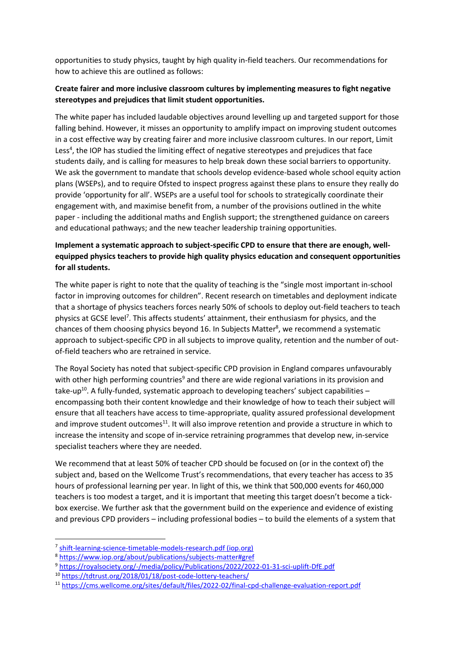opportunities to study physics, taught by high quality in-field teachers. Our recommendations for how to achieve this are outlined as follows:

## **Create fairer and more inclusive classroom cultures by implementing measures to fight negative stereotypes and prejudices that limit student opportunities.**

The white paper has included laudable objectives around levelling up and targeted support for those falling behind. However, it misses an opportunity to amplify impact on improving student outcomes in a cost effective way by creating fairer and more inclusive classroom cultures. In our report, Limit Le[s](#page-0-0)s<sup>4</sup>, the IOP has studied the limiting effect of negative stereotypes and prejudices that face students daily, and is calling for measures to help break down these social barriers to opportunity. We ask the government to mandate that schools develop evidence-based whole school equity action plans (WSEPs), and to require Ofsted to inspect progress against these plans to ensure they really do provide 'opportunity for all'. WSEPs are a useful tool for schools to strategically coordinate their engagement with, and maximise benefit from, a number of the provisions outlined in the white paper - including the additional maths and English support; the strengthened guidance on careers and educational pathways; and the new teacher leadership training opportunities.

## **Implement a systematic approach to subject-specific CPD to ensure that there are enough, wellequipped physics teachers to provide high quality physics education and consequent opportunities for all students.**

The white paper is right to note that the quality of teaching is the "single most important in-school factor in improving outcomes for children". Recent research on timetables and deployment indicate that a shortage of physics teachers forces nearly 50% of schools to deploy out-field teachers to teach physics at GCSE level<sup>7</sup>. This affects students' attainment, their enthusiasm for physics, and the chances of them choosing physics beyond 16. In Subjects Matter<sup>8</sup>, we recommend a systematic approach to subject-specific CPD in all subjects to improve quality, retention and the number of outof-field teachers who are retrained in service.

The Royal Society has noted that subject-specific CPD provision in England compares unfavourably with other high performing countries<sup>9</sup> and there are wide regional variations in its provision and take-up<sup>10</sup>. A fully-funded, systematic approach to developing teachers' subject capabilities encompassing both their content knowledge and their knowledge of how to teach their subject will ensure that all teachers have access to time-appropriate, quality assured professional development and improve student outcomes<sup>11</sup>. It will also improve retention and provide a structure in which to increase the intensity and scope of in-service retraining programmes that develop new, in-service specialist teachers where they are needed.

We recommend that at least 50% of teacher CPD should be focused on (or in the context of) the subject and, based on the Wellcome Trust's recommendations, that every teacher has access to 35 hours of professional learning per year. In light of this, we think that 500,000 events for 460,000 teachers is too modest a target, and it is important that meeting this target doesn't become a tickbox exercise. We further ask that the government build on the experience and evidence of existing and previous CPD providers – including professional bodies – to build the elements of a system that

<sup>&</sup>lt;sup>7</sup> [shift-learning-science-timetable-models-research.pdf \(iop.org\)](https://www.iop.org/sites/default/files/2019-06/shift-learning-science-timetable-models-research.pdf)

<sup>8</sup> https://www.iop.org/about/publications/subjects-matter#gref

<sup>9</sup> <https://royalsociety.org/-/media/policy/Publications/2022/2022-01-31-sci-uplift-DfE.pdf>

<sup>10</sup> <https://tdtrust.org/2018/01/18/post-code-lottery-teachers/>

<sup>11</sup> https://cms.wellcome.org/sites/default/files/2022-02/final-cpd-challenge-evaluation-report.pdf